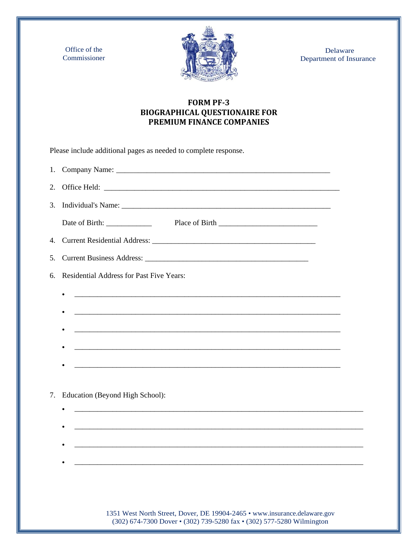Office of the Commissioner



 Delaware Department of Insurance

## **FORM PF-3 BIOGRAPHICAL QUESTIONAIRE FOR PREMIUM FINANCE COMPANIES**

Please include additional pages as needed to complete response.

| 1. |                                                                                                                       |  |
|----|-----------------------------------------------------------------------------------------------------------------------|--|
| 2. |                                                                                                                       |  |
| 3. |                                                                                                                       |  |
|    |                                                                                                                       |  |
|    |                                                                                                                       |  |
| 5. |                                                                                                                       |  |
| б. | <b>Residential Address for Past Five Years:</b>                                                                       |  |
|    | $\bullet$                                                                                                             |  |
|    |                                                                                                                       |  |
|    | <u> 1989 - Johann Stoff, deutscher Stoff, der Stoff, der Stoff, der Stoff, der Stoff, der Stoff, der Stoff, der S</u> |  |
|    | <u> 1989 - Johann Stoff, deutscher Stoff, der Stoff, der Stoff, der Stoff, der Stoff, der Stoff, der Stoff, der S</u> |  |
|    |                                                                                                                       |  |
|    |                                                                                                                       |  |
| 7. | Education (Beyond High School):                                                                                       |  |
|    |                                                                                                                       |  |
|    | <u> 1989 - Johann Stein, Amerikaansk politiker (</u> † 1920)                                                          |  |
|    |                                                                                                                       |  |
|    |                                                                                                                       |  |
|    |                                                                                                                       |  |

1351 West North Street, Dover, DE 19904-2465 • [www.insurance.delaware.gov](http://www.insurance.delaware.gov/) (302) 674-7300 Dover • (302) 739-5280 fax • (302) 577-5280 Wilmington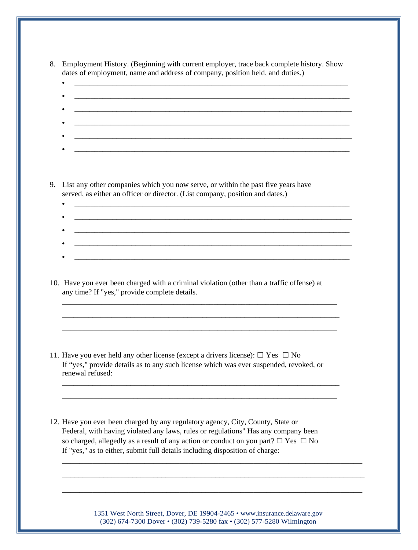| 8. Employment History. (Beginning with current employer, trace back complete history. Show |
|--------------------------------------------------------------------------------------------|
| dates of employment, name and address of company, position held, and duties.)              |

9. List any other companies which you now serve, or within the past five years have served, as either an officer or director. (List company, position and dates.)

- \_\_\_\_\_\_\_\_\_\_\_\_\_\_\_\_\_\_\_\_\_\_\_\_\_\_\_\_\_\_\_\_\_\_\_\_\_\_\_\_\_\_\_\_\_\_\_\_\_\_\_\_\_\_\_\_\_\_\_\_\_\_\_\_\_\_\_\_\_
- 
- $\bullet$  . The contribution of the contribution of the contribution of the contribution of the contribution of the contribution of the contribution of the contribution of the contribution of the contribution of the contributi • \_\_\_\_\_\_\_\_\_\_\_\_\_\_\_\_\_\_\_\_\_\_\_\_\_\_\_\_\_\_\_\_\_\_\_\_\_\_\_\_\_\_\_\_\_\_\_\_\_\_\_\_\_\_\_\_\_\_\_\_\_\_\_\_\_\_\_\_\_\_\_\_\_

• \_\_\_\_\_\_\_\_\_\_\_\_\_\_\_\_\_\_\_\_\_\_\_\_\_\_\_\_\_\_\_\_\_\_\_\_\_\_\_\_\_\_\_\_\_\_\_\_\_\_\_\_\_\_\_\_\_\_\_\_\_\_\_\_\_\_\_\_\_

\_\_\_\_\_\_\_\_\_\_\_\_\_\_\_\_\_\_\_\_\_\_\_\_\_\_\_\_\_\_\_\_\_\_\_\_\_\_\_\_\_\_\_\_\_\_\_\_\_\_\_\_\_\_\_\_\_\_\_\_\_\_\_\_\_\_\_\_\_\_\_\_\_ \_\_\_\_\_\_\_\_\_\_\_\_\_\_\_\_\_\_\_\_\_\_\_\_\_\_\_\_\_\_\_\_\_\_\_\_\_\_\_\_\_\_\_\_\_\_\_\_\_\_\_\_\_\_\_\_\_\_\_\_\_\_\_\_\_\_\_\_\_

\_\_\_\_\_\_\_\_\_\_\_\_\_\_\_\_\_\_\_\_\_\_\_\_\_\_\_\_\_\_\_\_\_\_\_\_\_\_\_\_\_\_\_\_\_\_\_\_\_\_\_\_\_\_\_\_\_\_\_\_\_\_\_\_\_\_\_\_\_\_\_\_\_ \_\_\_\_\_\_\_\_\_\_\_\_\_\_\_\_\_\_\_\_\_\_\_\_\_\_\_\_\_\_\_\_\_\_\_\_\_\_\_\_\_\_\_\_\_\_\_\_\_\_\_\_\_\_\_\_\_\_\_\_\_\_\_\_\_\_\_\_\_

10. Have you ever been charged with a criminal violation (other than a traffic offense) at any time? If "yes," provide complete details. \_\_\_\_\_\_\_\_\_\_\_\_\_\_\_\_\_\_\_\_\_\_\_\_\_\_\_\_\_\_\_\_\_\_\_\_\_\_\_\_\_\_\_\_\_\_\_\_\_\_\_\_\_\_\_\_\_\_\_\_\_\_\_\_\_\_\_\_\_

11. Have you ever held any other license (except a drivers license):  $\Box$  Yes  $\Box$  No If "yes," provide details as to any such license which was ever suspended, revoked, or renewal refused:

12. Have you ever been charged by any regulatory agency, City, County, State or Federal, with having violated any laws, rules or regulations" Has any company been so charged, allegedly as a result of any action or conduct on you part?  $\Box$  Yes  $\Box$  No If "yes," as to either, submit full details including disposition of charge:

> 1351 West North Street, Dover, DE 19904-2465 • [www.insurance.delaware.gov](http://www.insurance.delaware.gov/) (302) 674-7300 Dover • (302) 739-5280 fax • (302) 577-5280 Wilmington

\_\_\_\_\_\_\_\_\_\_\_\_\_\_\_\_\_\_\_\_\_\_\_\_\_\_\_\_\_\_\_\_\_\_\_\_\_\_\_\_\_\_\_\_\_\_\_\_\_\_\_\_\_\_\_\_\_\_\_\_\_\_\_\_\_\_\_\_\_

\_\_\_\_\_\_\_\_\_\_\_\_\_\_\_\_\_\_\_\_\_\_\_\_\_\_\_\_\_\_\_\_\_\_\_\_\_\_\_\_\_\_\_\_\_\_\_\_\_\_\_\_\_\_\_\_\_\_\_\_\_\_\_\_\_\_\_\_\_\_\_\_\_

\_\_\_\_\_\_\_\_\_\_\_\_\_\_\_\_\_\_\_\_\_\_\_\_\_\_\_\_\_\_\_\_\_\_\_\_\_\_\_\_\_\_\_\_\_\_\_\_\_\_\_\_\_\_\_\_\_\_\_\_\_\_\_\_\_\_\_\_\_